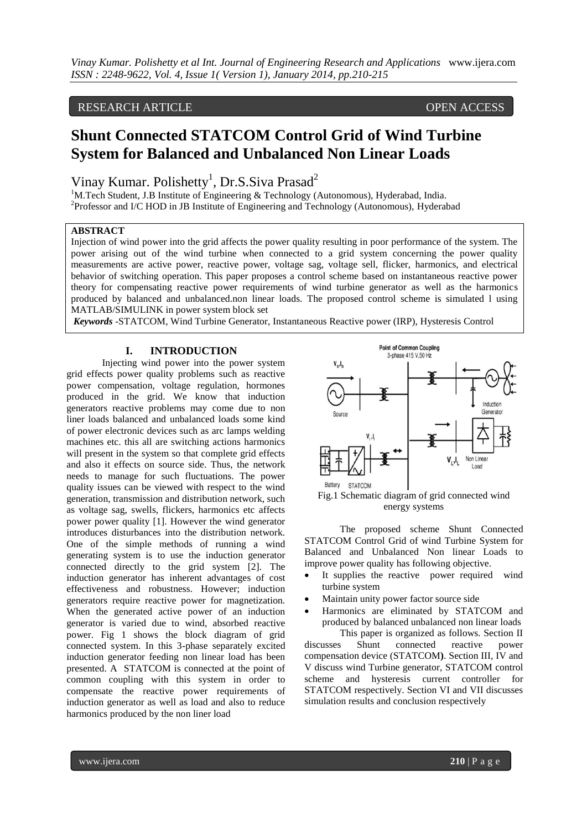# RESEARCH ARTICLE OPEN ACCESS

# **Shunt Connected STATCOM Control Grid of Wind Turbine System for Balanced and Unbalanced Non Linear Loads**

Vinay Kumar. Polishetty<sup>1</sup>, Dr.S.Siva Prasad<sup>2</sup>

<sup>1</sup>M.Tech Student, J.B Institute of Engineering & Technology (Autonomous), Hyderabad, India. <sup>2</sup>Professor and I/C HOD in JB Institute of Engineering and Technology (Autonomous), Hyderabad

### **ABSTRACT**

Injection of wind power into the grid affects the power quality resulting in poor performance of the system. The power arising out of the wind turbine when connected to a grid system concerning the power quality measurements are active power, reactive power, voltage sag, voltage sell, flicker, harmonics, and electrical behavior of switching operation. This paper proposes a control scheme based on instantaneous reactive power theory for compensating reactive power requirements of wind turbine generator as well as the harmonics produced by balanced and unbalanced.non linear loads. The proposed control scheme is simulated l using MATLAB/SIMULINK in power system block set

*Keywords* -STATCOM, Wind Turbine Generator, Instantaneous Reactive power (IRP), Hysteresis Control

## **I. INTRODUCTION**

Injecting wind power into the power system grid effects power quality problems such as reactive power compensation, voltage regulation, hormones produced in the grid. We know that induction generators reactive problems may come due to non liner loads balanced and unbalanced loads some kind of power electronic devices such as arc lamps welding machines etc. this all are switching actions harmonics will present in the system so that complete grid effects and also it effects on source side. Thus, the network needs to manage for such fluctuations. The power quality issues can be viewed with respect to the wind generation, transmission and distribution network, such as voltage sag, swells, flickers, harmonics etc affects power power quality [1]. However the wind generator introduces disturbances into the distribution network. One of the simple methods of running a wind generating system is to use the induction generator connected directly to the grid system [2]. The induction generator has inherent advantages of cost effectiveness and robustness. However; induction generators require reactive power for magnetization. When the generated active power of an induction generator is varied due to wind, absorbed reactive power. Fig 1 shows the block diagram of grid connected system. In this 3-phase separately excited induction generator feeding non linear load has been presented. A STATCOM is connected at the point of common coupling with this system in order to compensate the reactive power requirements of induction generator as well as load and also to reduce harmonics produced by the non liner load





The proposed scheme Shunt Connected STATCOM Control Grid of wind Turbine System for Balanced and Unbalanced Non linear Loads to improve power quality has following objective.

- It supplies the reactive power required wind turbine system
- Maintain unity power factor source side
- Harmonics are eliminated by STATCOM and produced by balanced unbalanced non linear loads

This paper is organized as follows. Section II<br>Shunt connected reactive nower discusses Shunt connected reactive compensation device (STATCOM**)**. Section III, IV and V discuss wind Turbine generator, STATCOM control scheme and hysteresis current controller for STATCOM respectively. Section VI and VII discusses simulation results and conclusion respectively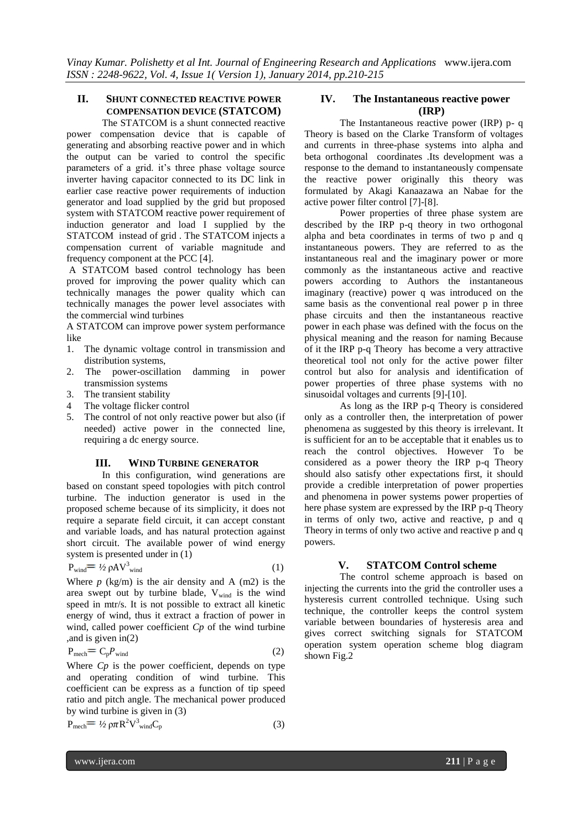# **II. SHUNT CONNECTED REACTIVE POWER COMPENSATION DEVICE (STATCOM)**

The STATCOM is a shunt connected reactive power compensation device that is capable of generating and absorbing reactive power and in which the output can be varied to control the specific parameters of a grid. it's three phase voltage source inverter having capacitor connected to its DC link in earlier case reactive power requirements of induction generator and load supplied by the grid but proposed system with STATCOM reactive power requirement of induction generator and load I supplied by the STATCOM instead of grid . The STATCOM injects a compensation current of variable magnitude and frequency component at the PCC [4].

A STATCOM based control technology has been proved for improving the power quality which can technically manages the power quality which can technically manages the power level associates with the commercial wind turbines

A STATCOM can improve power system performance like

- 1. The dynamic voltage control in transmission and distribution systems,
- 2. The power-oscillation damming in power transmission systems
- 3. The transient stability
- 4 The voltage flicker control
- 5. The control of not only reactive power but also (if needed) active power in the connected line, requiring a dc energy source.

#### **III. WIND TURBINE GENERATOR**

In this configuration, wind generations are based on constant speed topologies with pitch control turbine. The induction generator is used in the proposed scheme because of its simplicity, it does not require a separate field circuit, it can accept constant and variable loads, and has natural protection against short circuit. The available power of wind energy system is presented under in (1)

$$
P_{\text{wind}} = \frac{1}{2} \rho A V_{\text{wind}}^3 \tag{1}
$$

Where  $p$  (kg/m) is the air density and A (m2) is the area swept out by turbine blade,  $V_{wind}$  is the wind speed in mtr/s. It is not possible to extract all kinetic energy of wind, thus it extract a fraction of power in wind, called power coefficient *Cp* of the wind turbine ,and is given in(2)

$$
P_{\text{mech}} = C_p P_{\text{wind}} \tag{2}
$$

Where *Cp* is the power coefficient, depends on type and operating condition of wind turbine. This coefficient can be express as a function of tip speed ratio and pitch angle. The mechanical power produced by wind turbine is given in (3)

$$
P_{\text{mech}} = \frac{1}{2} \rho \pi R^2 V_{\text{wind}}^3 C_p \tag{3}
$$

# **IV. The Instantaneous reactive power (IRP)**

The Instantaneous reactive power (IRP) p- q Theory is based on the Clarke Transform of voltages and currents in three-phase systems into alpha and beta orthogonal coordinates .Its development was a response to the demand to instantaneously compensate the reactive power originally this theory was formulated by Akagi Kanaazawa an Nabae for the active power filter control [7]-[8].

Power properties of three phase system are described by the IRP p-q theory in two orthogonal alpha and beta coordinates in terms of two p and q instantaneous powers. They are referred to as the instantaneous real and the imaginary power or more commonly as the instantaneous active and reactive powers according to Authors the instantaneous imaginary (reactive) power q was introduced on the same basis as the conventional real power p in three phase circuits and then the instantaneous reactive power in each phase was defined with the focus on the physical meaning and the reason for naming Because of it the IRP p-q Theory has become a very attractive theoretical tool not only for the active power filter control but also for analysis and identification of power properties of three phase systems with no sinusoidal voltages and currents [9]-[10].

As long as the IRP p-q Theory is considered only as a controller then, the interpretation of power phenomena as suggested by this theory is irrelevant. It is sufficient for an to be acceptable that it enables us to reach the control objectives. However To be considered as a power theory the IRP p-q Theory should also satisfy other expectations first, it should provide a credible interpretation of power properties and phenomena in power systems power properties of here phase system are expressed by the IRP p-q Theory in terms of only two, active and reactive, p and q Theory in terms of only two active and reactive p and q powers.

### **V. STATCOM Control scheme**

The control scheme approach is based on injecting the currents into the grid the controller uses a hysteresis current controlled technique. Using such technique, the controller keeps the control system variable between boundaries of hysteresis area and gives correct switching signals for STATCOM operation system operation scheme blog diagram shown Fig.2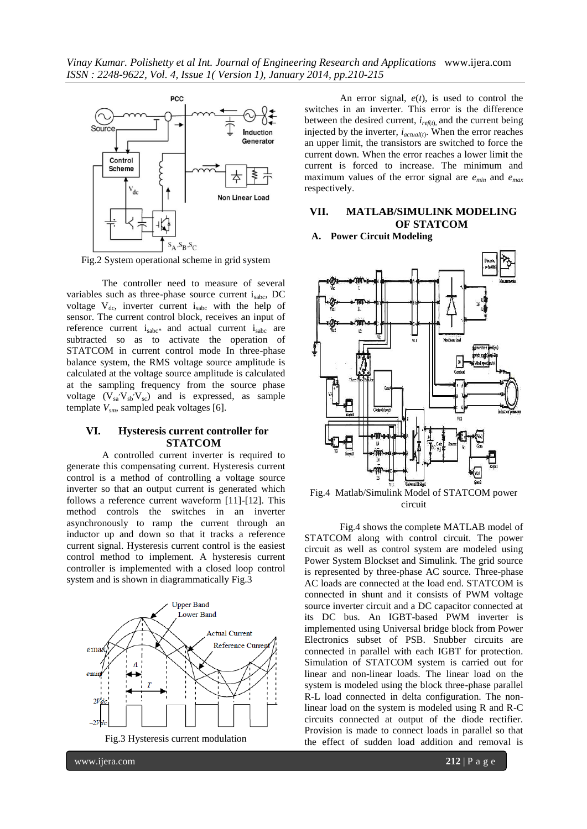

Fig.2 System operational scheme in grid system

The controller need to measure of several variables such as three-phase source current i<sub>sabc</sub>, DC voltage  $V_{dc}$ , inverter current is with the help of sensor. The current control block, receives an input of reference current  $i_{sabc}$  and actual current  $i_{sabc}$  are subtracted so as to activate the operation of STATCOM in current control mode In three-phase balance system, the RMS voltage source amplitude is calculated at the voltage source amplitude is calculated at the sampling frequency from the source phase voltage  $(V_{sa}^{\dagger}V_{sb}^{\dagger}V_{sc})$  and is expressed, as sample template *Vsm*, sampled peak voltages [6].

# **VI. Hysteresis current controller for STATCOM**

A controlled current inverter is required to generate this compensating current. Hysteresis current control is a method of controlling a voltage source inverter so that an output current is generated which follows a reference current waveform [11]-[12]. This method controls the switches in an inverter asynchronously to ramp the current through an inductor up and down so that it tracks a reference current signal. Hysteresis current control is the easiest control method to implement. A hysteresis current controller is implemented with a closed loop control system and is shown in diagrammatically Fig.3



An error signal, *e*(*t*), is used to control the switches in an inverter. This error is the difference between the desired current, *iref*(*t*), and the current being injected by the inverter, *iactual*(*t*) . When the error reaches an upper limit, the transistors are switched to force the current down. When the error reaches a lower limit the current is forced to increase. The minimum and maximum values of the error signal are *emin* and *emax* respectively.

# **VII. MATLAB/SIMULINK MODELING OF STATCOM**

**A. Power Circuit Modeling**



Fig.4 Matlab/Simulink Model of STATCOM power circuit

Fig.4 shows the complete MATLAB model of STATCOM along with control circuit. The power circuit as well as control system are modeled using Power System Blockset and Simulink. The grid source is represented by three-phase AC source. Three-phase AC loads are connected at the load end. STATCOM is connected in shunt and it consists of PWM voltage source inverter circuit and a DC capacitor connected at its DC bus. An IGBT-based PWM inverter is implemented using Universal bridge block from Power Electronics subset of PSB. Snubber circuits are connected in parallel with each IGBT for protection. Simulation of STATCOM system is carried out for linear and non-linear loads. The linear load on the system is modeled using the block three-phase parallel R-L load connected in delta configuration. The nonlinear load on the system is modeled using R and R-C circuits connected at output of the diode rectifier. Provision is made to connect loads in parallel so that the effect of sudden load addition and removal is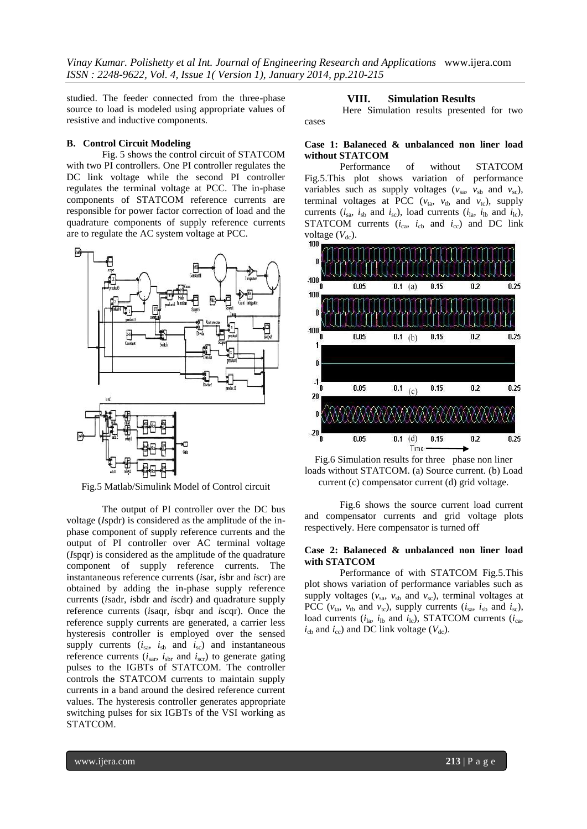studied. The feeder connected from the three-phase source to load is modeled using appropriate values of resistive and inductive components.

#### **B. Control Circuit Modeling**

Fig. 5 shows the control circuit of STATCOM with two PI controllers. One PI controller regulates the DC link voltage while the second PI controller regulates the terminal voltage at PCC. The in-phase components of STATCOM reference currents are responsible for power factor correction of load and the quadrature components of supply reference currents are to regulate the AC system voltage at PCC.



Fig.5 Matlab/Simulink Model of Control circuit

The output of PI controller over the DC bus voltage (*I*spdr) is considered as the amplitude of the inphase component of supply reference currents and the output of PI controller over AC terminal voltage (*I*spqr) is considered as the amplitude of the quadrature component of supply reference currents. The instantaneous reference currents (*i*sar, *i*sbr and *i*scr) are obtained by adding the in-phase supply reference currents (*i*sadr, *i*sbdr and *i*scdr) and quadrature supply reference currents (*i*saqr, *i*sbqr and *i*scqr). Once the reference supply currents are generated, a carrier less hysteresis controller is employed over the sensed supply currents  $(i_{sa}, i_{sb}$  and  $i_{sc}$ ) and instantaneous reference currents  $(i_{\text{sar}}, i_{\text{shr}})$  and  $i_{\text{scr}}$ ) to generate gating pulses to the IGBTs of STATCOM. The controller controls the STATCOM currents to maintain supply currents in a band around the desired reference current values. The hysteresis controller generates appropriate switching pulses for six IGBTs of the VSI working as STATCOM.

#### **VIII. Simulation Results**

Here Simulation results presented for two cases

### **Case 1: Balaneced & unbalanced non liner load without STATCOM**

Performance of without STATCOM Fig.5.This plot shows variation of performance variables such as supply voltages  $(v_{sa}, v_{sh})$  and  $v_{sc}$ ), terminal voltages at PCC ( $v_{ta}$ ,  $v_{tb}$  and  $v_{tc}$ ), supply currents ( $i_{sa}$ ,  $i_{sb}$  and  $i_{sc}$ ), load currents ( $i_{la}$ ,  $i_{lb}$  and  $i_{lc}$ ), STATCOM currents  $(i_{ca}, i_{cb}$  and  $i_{cc}$ ) and DC link voltage  $(V_{dc})$ .



Fig.6 Simulation results for three phase non liner loads without STATCOM. (a) Source current. (b) Load current (c) compensator current (d) grid voltage.

Fig.6 shows the source current load current and compensator currents and grid voltage plots respectively. Here compensator is turned off

#### **Case 2: Balaneced & unbalanced non liner load with STATCOM**

Performance of with STATCOM Fig.5.This plot shows variation of performance variables such as supply voltages ( $v_{sa}$ ,  $v_{sb}$  and  $v_{sc}$ ), terminal voltages at PCC ( $v_{ta}$ ,  $v_{tb}$  and  $v_{tc}$ ), supply currents ( $i_{sa}$ ,  $i_{sb}$  and  $i_{sc}$ ), load currents  $(i_{\text{la}}, i_{\text{lb}} \text{ and } i_{\text{lc}})$ , STATCOM currents  $(i_{\text{ca}}, i_{\text{lb}} \text{ and } i_{\text{lc}})$  $i_{\text{cb}}$  and  $i_{\text{cc}}$ ) and DC link voltage ( $V_{\text{dc}}$ ).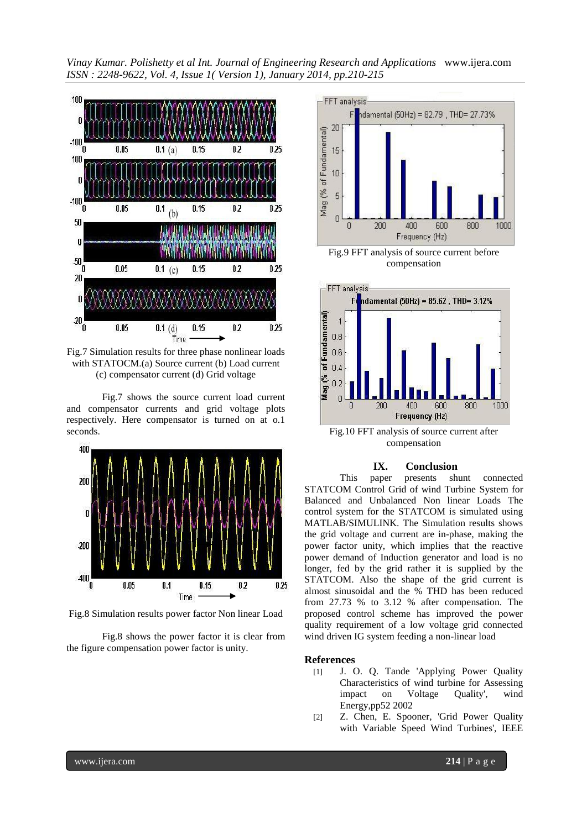

Fig.7 Simulation results for three phase nonlinear loads with STATOCM.(a) Source current (b) Load current (c) compensator current (d) Grid voltage

Fig.7 shows the source current load current and compensator currents and grid voltage plots respectively. Here compensator is turned on at o.1 seconds.



Fig.8 Simulation results power factor Non linear Load

Fig.8 shows the power factor it is clear from the figure compensation power factor is unity.



Fig.9 FFT analysis of source current before compensation



Fig.10 FFT analysis of source current after compensation

#### **IX. Conclusion**

This paper presents shunt connected STATCOM Control Grid of wind Turbine System for Balanced and Unbalanced Non linear Loads The control system for the STATCOM is simulated using MATLAB/SIMULINK. The Simulation results shows the grid voltage and current are in-phase, making the power factor unity, which implies that the reactive power demand of Induction generator and load is no longer, fed by the grid rather it is supplied by the STATCOM. Also the shape of the grid current is almost sinusoidal and the % THD has been reduced from 27.73 % to 3.12 % after compensation. The proposed control scheme has improved the power quality requirement of a low voltage grid connected wind driven IG system feeding a non-linear load

#### **References**

- [1] J. O. Q. Tande 'Applying Power Quality Characteristics of wind turbine for Assessing<br>impact on Voltage Quality', wind impact on Voltage Quality', wind Energy,pp52 2002
- [2] Z. Chen, E. Spooner, 'Grid Power Quality with Variable Speed Wind Turbines', IEEE